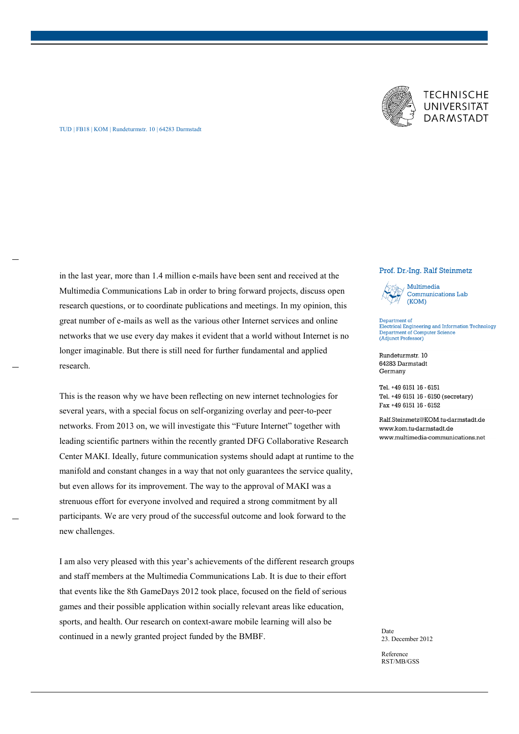

## **TECHNISCHE** UNIVERSITÄT **DARMSTADT**

## TUD | FB18 | KOM | Rundeturmstr. 10 | 64283 Darmstadt

in the last year, more than 1.4 million e-mails have been sent and received at the Multimedia Communications Lab in order to bring forward projects, discuss open research questions, or to coordinate publications and meetings. In my opinion, this great number of e-mails as well as the various other Internet services and online networks that we use every day makes it evident that a world without Internet is no longer imaginable. But there is still need for further fundamental and applied research.

This is the reason why we have been reflecting on new internet technologies for several years, with a special focus on self-organizing overlay and peer-to-peer networks. From 2013 on, we will investigate this "Future Internet" together with leading scientific partners within the recently granted DFG Collaborative Research Center MAKI. Ideally, future communication systems should adapt at runtime to the manifold and constant changes in a way that not only guarantees the service quality, but even allows for its improvement. The way to the approval of MAKI was a strenuous effort for everyone involved and required a strong commitment by all participants. We are very proud of the successful outcome and look forward to the new challenges.

I am also very pleased with this year's achievements of the different research groups and staff members at the Multimedia Communications Lab. It is due to their effort that events like the 8th GameDays 2012 took place, focused on the field of serious games and their possible application within socially relevant areas like education, sports, and health. Our research on context-aware mobile learning will also be continued in a newly granted project funded by the BMBF.

## Prof. Dr.-Ing. Ralf Steinmetz



Department of<br>Electrical Engineering and Information Technology Department of Computer Science **Expanditure (Adjunct Professor)** 

Rundeturmstr. 10 64283 Darmstadt Germany

Tel. +49 6151 16 - 6151 Tel. +49 6151 16 - 6150 (secretary) Fax +49 6151 16 - 6152

Ralf Steinmetz@KOM tu-darmstadt de www.kom.tu-darmstadt.de www.multimedia-communications.net

Date 23. December 2012

Reference RST/MB/GSS